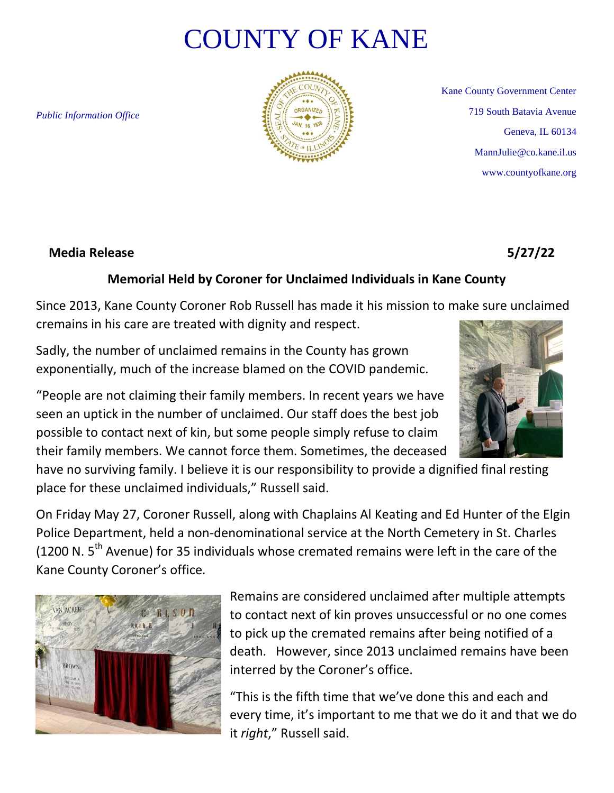## COUNTY OF KANE

*Public Information Office*



Kane County Government Center 719 South Batavia Avenue Geneva, IL 60134 MannJulie@co.kane.il.us www.countyofkane.org

## **Media Release 5/27/22**

## **Memorial Held by Coroner for Unclaimed Individuals in Kane County**

Since 2013, Kane County Coroner Rob Russell has made it his mission to make sure unclaimed cremains in his care are treated with dignity and respect.

Sadly, the number of unclaimed remains in the County has grown exponentially, much of the increase blamed on the COVID pandemic.

"People are not claiming their family members. In recent years we have seen an uptick in the number of unclaimed. Our staff does the best job possible to contact next of kin, but some people simply refuse to claim their family members. We cannot force them. Sometimes, the deceased

have no surviving family. I believe it is our responsibility to provide a dignified final resting place for these unclaimed individuals," Russell said.

On Friday May 27, Coroner Russell, along with Chaplains Al Keating and Ed Hunter of the Elgin Police Department, held a non-denominational service at the North Cemetery in St. Charles (1200 N.  $5<sup>th</sup>$  Avenue) for 35 individuals whose cremated remains were left in the care of the Kane County Coroner's office.



Remains are considered unclaimed after multiple attempts to contact next of kin proves unsuccessful or no one comes to pick up the cremated remains after being notified of a death. However, since 2013 unclaimed remains have been interred by the Coroner's office.

"This is the fifth time that we've done this and each and every time, it's important to me that we do it and that we do it *right*," Russell said.